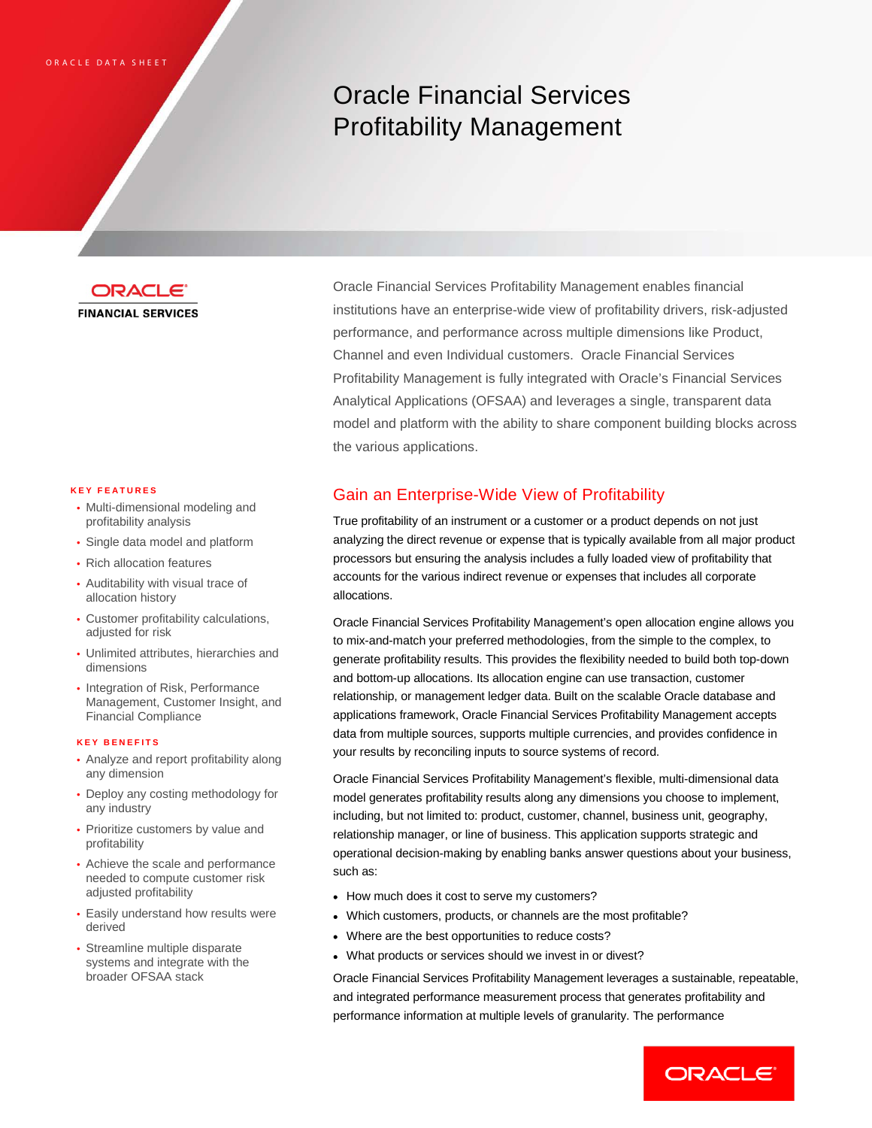# Oracle Financial Services Profitability Management



#### **KEY FEATURES**

- Multi-dimensional modeling and profitability analysis
- Single data model and platform
- Rich allocation features
- Auditability with visual trace of allocation history
- Customer profitability calculations, adjusted for risk
- Unlimited attributes, hierarchies and dimensions
- Integration of Risk, Performance Management, Customer Insight, and Financial Compliance

#### **KEY BENEFITS**

- Analyze and report profitability along any dimension
- Deploy any costing methodology for any industry
- Prioritize customers by value and profitability
- Achieve the scale and performance needed to compute customer risk adjusted profitability
- Easily understand how results were derived
- Streamline multiple disparate systems and integrate with the broader OFSAA stack

Oracle Financial Services Profitability Management enables financial institutions have an enterprise-wide view of profitability drivers, risk-adjusted performance, and performance across multiple dimensions like Product, Channel and even Individual customers. Oracle Financial Services Profitability Management is fully integrated with Oracle's Financial Services Analytical Applications (OFSAA) and leverages a single, transparent data model and platform with the ability to share component building blocks across the various applications.

# Gain an Enterprise-Wide View of Profitability

True profitability of an instrument or a customer or a product depends on not just analyzing the direct revenue or expense that is typically available from all major product processors but ensuring the analysis includes a fully loaded view of profitability that accounts for the various indirect revenue or expenses that includes all corporate allocations.

Oracle Financial Services Profitability Management's open allocation engine allows you to mix-and-match your preferred methodologies, from the simple to the complex, to generate profitability results. This provides the flexibility needed to build both top-down and bottom-up allocations. Its allocation engine can use transaction, customer relationship, or management ledger data. Built on the scalable Oracle database and applications framework, Oracle Financial Services Profitability Management accepts data from multiple sources, supports multiple currencies, and provides confidence in your results by reconciling inputs to source systems of record.

Oracle Financial Services Profitability Management's flexible, multi-dimensional data model generates profitability results along any dimensions you choose to implement, including, but not limited to: product, customer, channel, business unit, geography, relationship manager, or line of business. This application supports strategic and operational decision-making by enabling banks answer questions about your business, such as:

- How much does it cost to serve my customers?
- Which customers, products, or channels are the most profitable?
- Where are the best opportunities to reduce costs?
- What products or services should we invest in or divest?

Oracle Financial Services Profitability Management leverages a sustainable, repeatable, and integrated performance measurement process that generates profitability and performance information at multiple levels of granularity. The performance

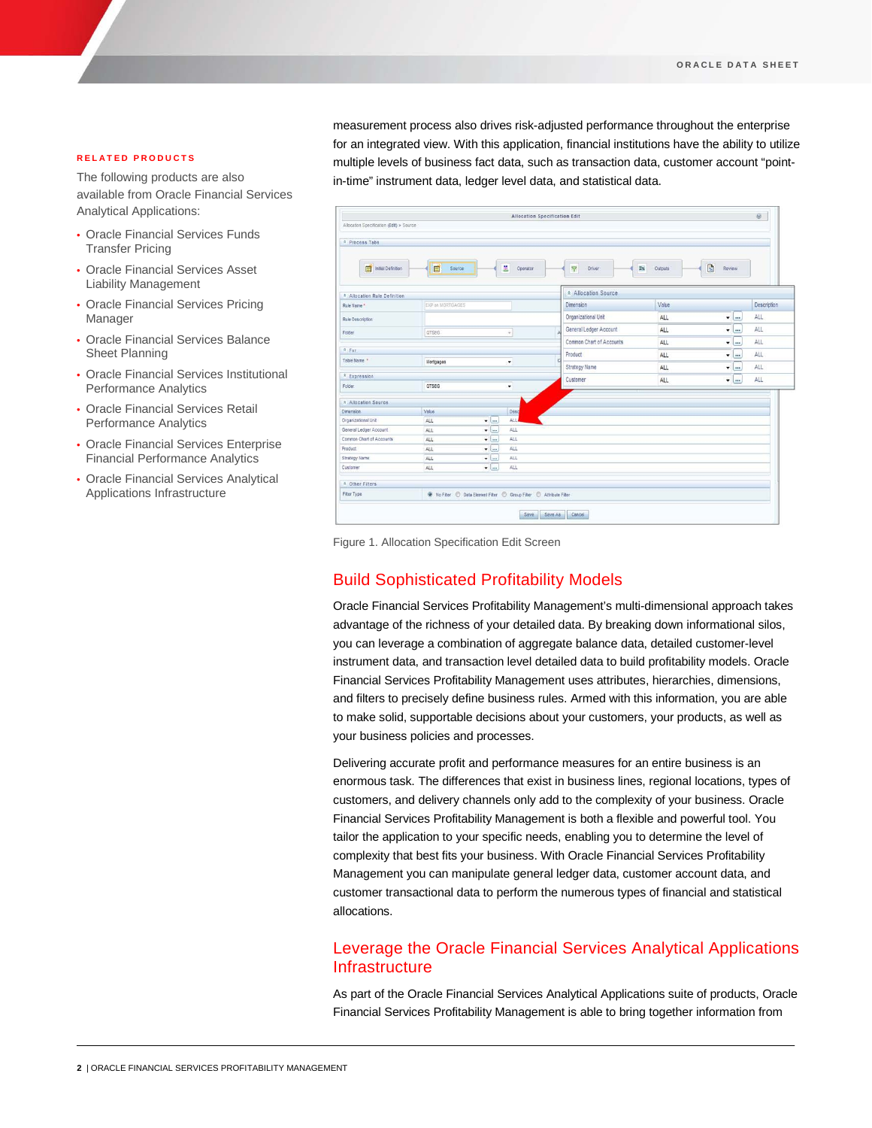#### **RELATED PRODUCTS**

The following products are also available from Oracle Financial Services Analytical Applications:

- Oracle Financial Services Funds Transfer Pricing
- Oracle Financial Services Asset Liability Management
- Oracle Financial Services Pricing Manager
- Oracle Financial Services Balance Sheet Planning
- Oracle Financial Services Institutional Performance Analytics
- Oracle Financial Services Retail Performance Analytics
- Oracle Financial Services Enterprise Financial Performance Analytics
- Oracle Financial Services Analytical Applications Infrastructure

measurement process also drives risk-adjusted performance throughout the enterprise for an integrated view. With this application, financial institutions have the ability to utilize multiple levels of business fact data, such as transaction data, customer account "pointin-time" instrument data, ledger level data, and statistical data.

| Allocation Specification (Edit) > Source |                                                                           |                  |                           |                       |               |             |
|------------------------------------------|---------------------------------------------------------------------------|------------------|---------------------------|-----------------------|---------------|-------------|
| <b>R</b> Process Tabs                    |                                                                           |                  |                           |                       |               |             |
| Initial Definition                       | E<br>Source                                                               | s.<br>Operator   | $\triangledown$<br>Driver | $\Sigma\%$<br>Outputs | 國<br>Review   |             |
| * Allocation Rule Definition             |                                                                           |                  | * Allocation Source       |                       |               |             |
| Rule Name *                              | EXP on MORTGAGES                                                          |                  | Dimension                 | Value                 |               | Description |
| Rule Description                         |                                                                           |                  | Organizational Unit       | ALL                   | $-$           | <b>ALL</b>  |
| Folder                                   | <b>QTSEG</b>                                                              | ٠                | General Ledger Account    | ALL                   | $T$ and       | ALL         |
|                                          |                                                                           |                  | Common Chart of Accounts  | ALL                   | $\cdots$<br>۰ | ALL         |
| $x$ For                                  |                                                                           |                  | Product                   |                       |               | ALL         |
| Table Name                               | Mortgages                                                                 | ۰                | d                         | ALL                   | ۰<br>$\cdots$ |             |
|                                          |                                                                           |                  | Strategy Name             | ALL                   | $\cdots$<br>۷ | ALL.        |
| <sup>*</sup> Expression<br>Folder        | <b>QTSEG</b><br>۰                                                         |                  | Customer                  | ALL                   | $-1$          | ALL         |
|                                          |                                                                           |                  |                           |                       |               |             |
| <b>8. Allocation Source</b>              |                                                                           |                  |                           |                       |               |             |
| <b>Dimension</b>                         | Value                                                                     | Desq             |                           |                       |               |             |
| Organizational Unit                      | ALL                                                                       | ALL<br>$+$       |                           |                       |               |             |
| General Ledger Account                   | ALL                                                                       | $\bullet$<br>ALL |                           |                       |               |             |
| Common Chart of Accounts                 | ALL                                                                       | ALL<br>$-$       |                           |                       |               |             |
| Product                                  | ALL                                                                       | ALL<br>$-1$      |                           |                       |               |             |
| Strategy Name                            | ALL                                                                       | $-1$<br>ALL      |                           |                       |               |             |
| Customer                                 | ALL                                                                       | ALL<br>$-1$      |                           |                       |               |             |
| * Other Filters                          |                                                                           |                  |                           |                       |               |             |
| Fiter Type:                              | 4 No Filter (C) Data Element Filter (C) Group Filter (C) Attribute Filter |                  |                           |                       |               |             |

Figure 1. Allocation Specification Edit Screen

## Build Sophisticated Profitability Models

Oracle Financial Services Profitability Management's multi-dimensional approach takes advantage of the richness of your detailed data. By breaking down informational silos, you can leverage a combination of aggregate balance data, detailed customer-level instrument data, and transaction level detailed data to build profitability models. Oracle Financial Services Profitability Management uses attributes, hierarchies, dimensions, and filters to precisely define business rules. Armed with this information, you are able to make solid, supportable decisions about your customers, your products, as well as your business policies and processes.

Delivering accurate profit and performance measures for an entire business is an enormous task. The differences that exist in business lines, regional locations, types of customers, and delivery channels only add to the complexity of your business. Oracle Financial Services Profitability Management is both a flexible and powerful tool. You tailor the application to your specific needs, enabling you to determine the level of complexity that best fits your business. With Oracle Financial Services Profitability Management you can manipulate general ledger data, customer account data, and customer transactional data to perform the numerous types of financial and statistical allocations.

# Leverage the Oracle Financial Services Analytical Applications **Infrastructure**

As part of the Oracle Financial Services Analytical Applications suite of products, Oracle Financial Services Profitability Management is able to bring together information from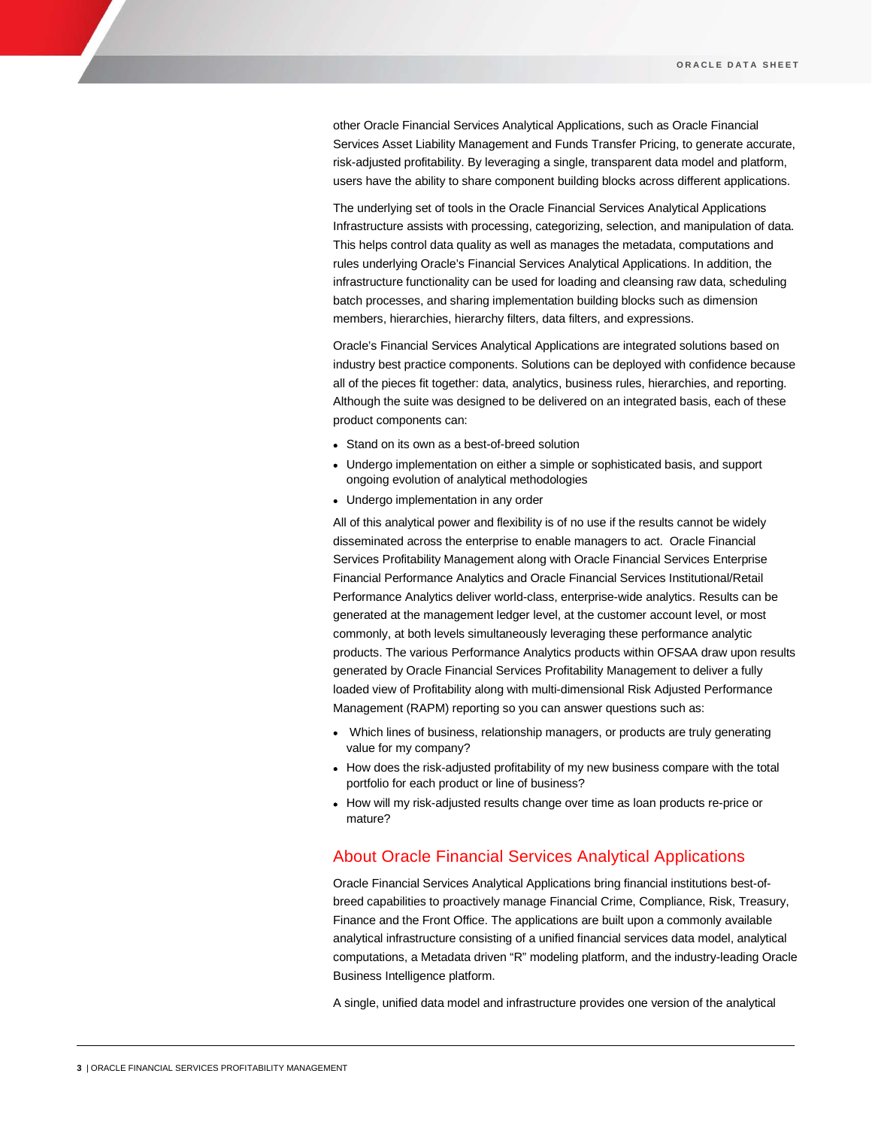other Oracle Financial Services Analytical Applications, such as Oracle Financial Services Asset Liability Management and Funds Transfer Pricing, to generate accurate, risk-adjusted profitability. By leveraging a single, transparent data model and platform, users have the ability to share component building blocks across different applications.

The underlying set of tools in the Oracle Financial Services Analytical Applications Infrastructure assists with processing, categorizing, selection, and manipulation of data. This helps control data quality as well as manages the metadata, computations and rules underlying Oracle's Financial Services Analytical Applications. In addition, the infrastructure functionality can be used for loading and cleansing raw data, scheduling batch processes, and sharing implementation building blocks such as dimension members, hierarchies, hierarchy filters, data filters, and expressions.

Oracle's Financial Services Analytical Applications are integrated solutions based on industry best practice components. Solutions can be deployed with confidence because all of the pieces fit together: data, analytics, business rules, hierarchies, and reporting. Although the suite was designed to be delivered on an integrated basis, each of these product components can:

- Stand on its own as a best-of-breed solution
- Undergo implementation on either a simple or sophisticated basis, and support ongoing evolution of analytical methodologies
- Undergo implementation in any order

All of this analytical power and flexibility is of no use if the results cannot be widely disseminated across the enterprise to enable managers to act. Oracle Financial Services Profitability Management along with Oracle Financial Services Enterprise Financial Performance Analytics and Oracle Financial Services Institutional/Retail Performance Analytics deliver world-class, enterprise-wide analytics. Results can be generated at the management ledger level, at the customer account level, or most commonly, at both levels simultaneously leveraging these performance analytic products. The various Performance Analytics products within OFSAA draw upon results generated by Oracle Financial Services Profitability Management to deliver a fully loaded view of Profitability along with multi-dimensional Risk Adjusted Performance Management (RAPM) reporting so you can answer questions such as:

- Which lines of business, relationship managers, or products are truly generating value for my company?
- How does the risk-adjusted profitability of my new business compare with the total portfolio for each product or line of business?
- How will my risk-adjusted results change over time as loan products re-price or mature?

### About Oracle Financial Services Analytical Applications

Oracle Financial Services Analytical Applications bring financial institutions best-ofbreed capabilities to proactively manage Financial Crime, Compliance, Risk, Treasury, Finance and the Front Office. The applications are built upon a commonly available analytical infrastructure consisting of a unified financial services data model, analytical computations, a Metadata driven "R" modeling platform, and the industry-leading Oracle Business Intelligence platform.

A single, unified data model and infrastructure provides one version of the analytical